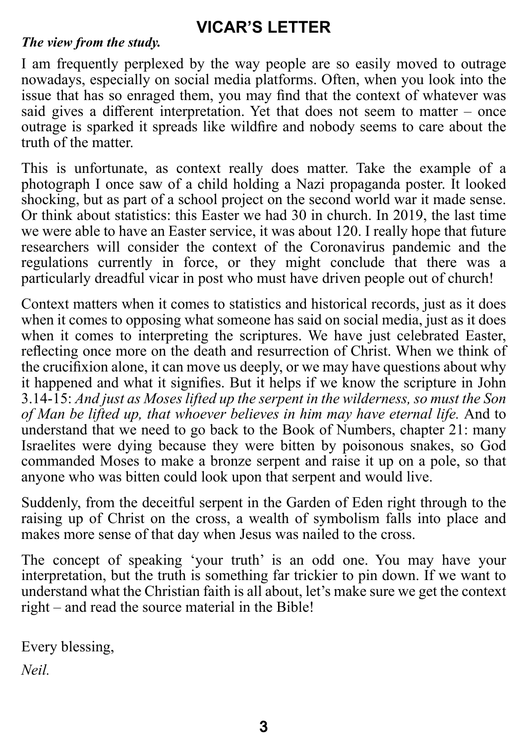# **VICAR'S LETTER**

#### *The view from the study.*

I am frequently perplexed by the way people are so easily moved to outrage nowadays, especially on social media platforms. Often, when you look into the issue that has so enraged them, you may find that the context of whatever was said gives a different interpretation. Yet that does not seem to matter – once outrage is sparked it spreads like wildfire and nobody seems to care about the truth of the matter.

This is unfortunate, as context really does matter. Take the example of a photograph I once saw of a child holding a Nazi propaganda poster. It looked shocking, but as part of a school project on the second world war it made sense. Or think about statistics: this Easter we had 30 in church. In 2019, the last time we were able to have an Easter service, it was about 120. I really hope that future researchers will consider the context of the Coronavirus pandemic and the regulations currently in force, or they might conclude that there was a particularly dreadful vicar in post who must have driven people out of church!

Context matters when it comes to statistics and historical records, just as it does when it comes to opposing what someone has said on social media, just as it does when it comes to interpreting the scriptures. We have just celebrated Easter, reflecting once more on the death and resurrection of Christ. When we think of the crucifixion alone, it can move us deeply, or we may have questions about why it happened and what it signifies. But it helps if we know the scripture in John 3.14-15: *And just as Moses lifted up the serpent in the wilderness, so must the Son of Man be lifted up, that whoever believes in him may have eternal life.* And to understand that we need to go back to the Book of Numbers, chapter 21: many Israelites were dying because they were bitten by poisonous snakes, so God commanded Moses to make a bronze serpent and raise it up on a pole, so that anyone who was bitten could look upon that serpent and would live.

Suddenly, from the deceitful serpent in the Garden of Eden right through to the raising up of Christ on the cross, a wealth of symbolism falls into place and makes more sense of that day when Jesus was nailed to the cross.

The concept of speaking 'your truth' is an odd one. You may have your interpretation, but the truth is something far trickier to pin down. If we want to understand what the Christian faith is all about, let's make sure we get the context right – and read the source material in the Bible!

Every blessing,

*Neil.*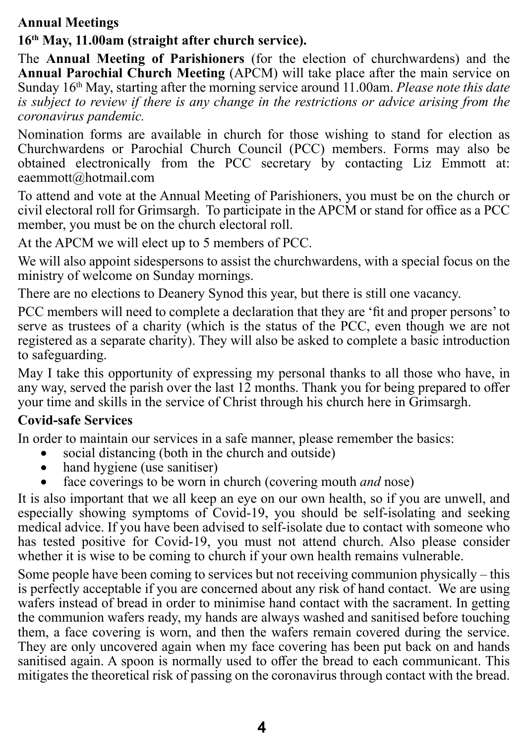#### **Annual Meetings**

### **16th May, 11.00am (straight after church service).**

The **Annual Meeting of Parishioners** (for the election of churchwardens) and the **Annual Parochial Church Meeting** (APCM) will take place after the main service on Sunday 16<sup>th</sup> May, starting after the morning service around 11.00am. *Please note this date is subject to review if there is any change in the restrictions or advice arising from the coronavirus pandemic.*

Nomination forms are available in church for those wishing to stand for election as Churchwardens or Parochial Church Council (PCC) members. Forms may also be obtained electronically from the PCC secretary by contacting Liz Emmott at: eaemmott@hotmail.com

To attend and vote at the Annual Meeting of Parishioners, you must be on the church or civil electoral roll for Grimsargh. To participate in the APCM or stand for office as a PCC member, you must be on the church electoral roll.

At the APCM we will elect up to 5 members of PCC.

We will also appoint sidespersons to assist the churchwardens, with a special focus on the ministry of welcome on Sunday mornings.

There are no elections to Deanery Synod this year, but there is still one vacancy.

PCC members will need to complete a declaration that they are 'fit and proper persons' to serve as trustees of a charity (which is the status of the PCC, even though we are not registered as a separate charity). They will also be asked to complete a basic introduction to safeguarding.

May I take this opportunity of expressing my personal thanks to all those who have, in any way, served the parish over the last 12 months. Thank you for being prepared to offer your time and skills in the service of Christ through his church here in Grimsargh.

### **Covid-safe Services**

In order to maintain our services in a safe manner, please remember the basics:

- social distancing (both in the church and outside)
- hand hygiene (use sanitiser)
- face coverings to be worn in church (covering mouth *and* nose)

It is also important that we all keep an eye on our own health, so if you are unwell, and especially showing symptoms of Covid-19, you should be self-isolating and seeking medical advice. If you have been advised to self-isolate due to contact with someone who has tested positive for Covid-19, you must not attend church. Also please consider whether it is wise to be coming to church if your own health remains vulnerable.

Some people have been coming to services but not receiving communion physically – this is perfectly acceptable if you are concerned about any risk of hand contact. We are using wafers instead of bread in order to minimise hand contact with the sacrament. In getting the communion wafers ready, my hands are always washed and sanitised before touching them, a face covering is worn, and then the wafers remain covered during the service. They are only uncovered again when my face covering has been put back on and hands sanitised again. A spoon is normally used to offer the bread to each communicant. This mitigates the theoretical risk of passing on the coronavirus through contact with the bread.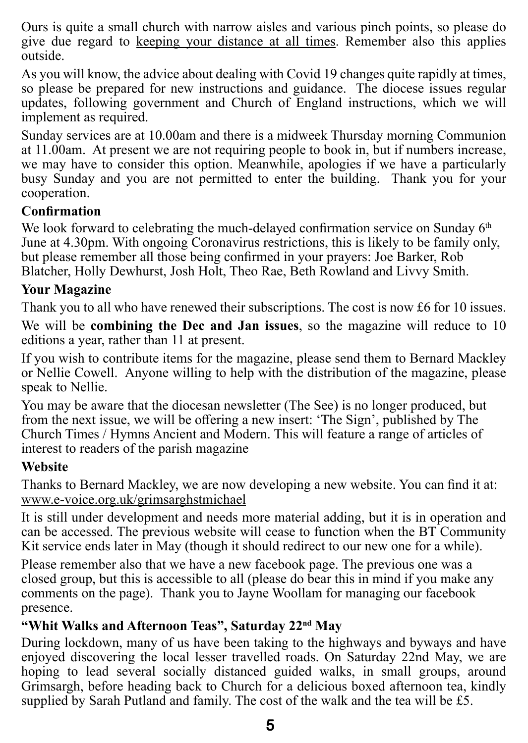Ours is quite a small church with narrow aisles and various pinch points, so please do give due regard to keeping your distance at all times. Remember also this applies outside.

As you will know, the advice about dealing with Covid 19 changes quite rapidly at times, so please be prepared for new instructions and guidance. The diocese issues regular updates, following government and Church of England instructions, which we will implement as required.

Sunday services are at 10.00am and there is a midweek Thursday morning Communion at 11.00am. At present we are not requiring people to book in, but if numbers increase, we may have to consider this option. Meanwhile, apologies if we have a particularly busy Sunday and you are not permitted to enter the building. Thank you for your cooperation.

#### **Confirmation**

We look forward to celebrating the much-delayed confirmation service on Sunday 6<sup>th</sup> June at 4.30pm. With ongoing Coronavirus restrictions, this is likely to be family only, but please remember all those being confirmed in your prayers: Joe Barker, Rob Blatcher, Holly Dewhurst, Josh Holt, Theo Rae, Beth Rowland and Livvy Smith.

#### **Your Magazine**

Thank you to all who have renewed their subscriptions. The cost is now £6 for 10 issues.

We will be **combining the Dec and Jan issues**, so the magazine will reduce to 10 editions a year, rather than 11 at present.

If you wish to contribute items for the magazine, please send them to Bernard Mackley or Nellie Cowell. Anyone willing to help with the distribution of the magazine, please speak to Nellie.

You may be aware that the diocesan newsletter (The See) is no longer produced, but from the next issue, we will be offering a new insert: 'The Sign', published by The Church Times / Hymns Ancient and Modern. This will feature a range of articles of interest to readers of the parish magazine

#### **Website**

Thanks to Bernard Mackley, we are now developing a new website. You can find it at: www.e-voice.org.uk/grimsarghstmichael

It is still under development and needs more material adding, but it is in operation and can be accessed. The previous website will cease to function when the BT Community Kit service ends later in May (though it should redirect to our new one for a while).

Please remember also that we have a new facebook page. The previous one was a closed group, but this is accessible to all (please do bear this in mind if you make any comments on the page). Thank you to Jayne Woollam for managing our facebook presence.

#### **"Whit Walks and Afternoon Teas", Saturday 22nd May**

During lockdown, many of us have been taking to the highways and byways and have enjoyed discovering the local lesser travelled roads. On Saturday 22nd May, we are hoping to lead several socially distanced guided walks, in small groups, around Grimsargh, before heading back to Church for a delicious boxed afternoon tea, kindly supplied by Sarah Putland and family. The cost of the walk and the tea will be £5.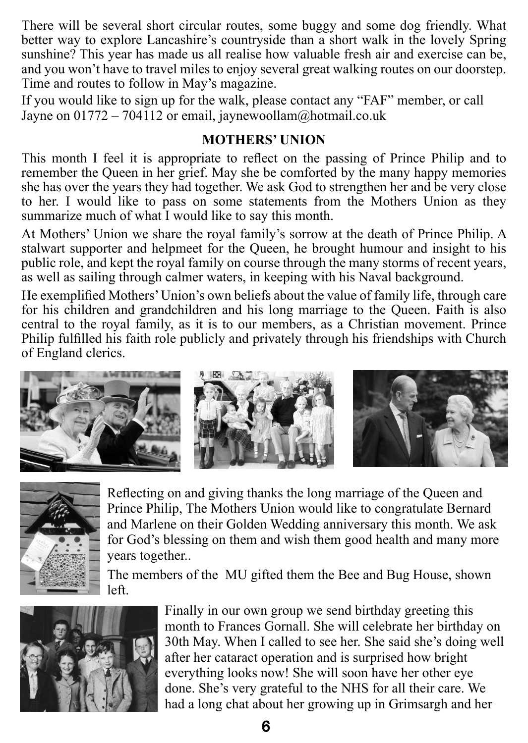There will be several short circular routes, some buggy and some dog friendly. What better way to explore Lancashire's countryside than a short walk in the lovely Spring sunshine? This year has made us all realise how valuable fresh air and exercise can be, and you won't have to travel miles to enjoy several great walking routes on our doorstep. Time and routes to follow in May's magazine.

If you would like to sign up for the walk, please contact any "FAF" member, or call Jayne on  $01772 - 704112$  or email, jaynewoollam@hotmail.co.uk

#### **MOTHERS' UNION**

This month I feel it is appropriate to reflect on the passing of Prince Philip and to remember the Queen in her grief. May she be comforted by the many happy memories she has over the years they had together. We ask God to strengthen her and be very close to her. I would like to pass on some statements from the Mothers Union as they summarize much of what I would like to say this month.

At Mothers' Union we share the royal family's sorrow at the death of Prince Philip. A stalwart supporter and helpmeet for the Queen, he brought humour and insight to his public role, and kept the royal family on course through the many storms of recent years, as well as sailing through calmer waters, in keeping with his Naval background.

He exemplified Mothers' Union's own beliefs about the value of family life, through care for his children and grandchildren and his long marriage to the Queen. Faith is also central to the royal family, as it is to our members, as a Christian movement. Prince Philip fulfilled his faith role publicly and privately through his friendships with Church of England clerics.





Reflecting on and giving thanks the long marriage of the Queen and Prince Philip, The Mothers Union would like to congratulate Bernard and Marlene on their Golden Wedding anniversary this month. We ask for God's blessing on them and wish them good health and many more years together..

The members of the MU gifted them the Bee and Bug House, shown left.



Finally in our own group we send birthday greeting this month to Frances Gornall. She will celebrate her birthday on 30th May. When I called to see her. She said she's doing well after her cataract operation and is surprised how bright everything looks now! She will soon have her other eye done. She's very grateful to the NHS for all their care. We had a long chat about her growing up in Grimsargh and her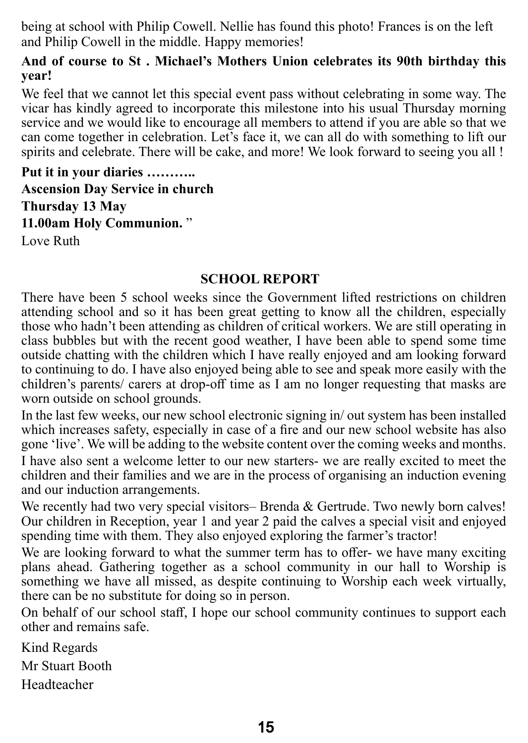being at school with Philip Cowell. Nellie has found this photo! Frances is on the left and Philip Cowell in the middle. Happy memories!

#### **And of course to St . Michael's Mothers Union celebrates its 90th birthday this year!**

We feel that we cannot let this special event pass without celebrating in some way. The vicar has kindly agreed to incorporate this milestone into his usual Thursday morning service and we would like to encourage all members to attend if you are able so that we can come together in celebration. Let's face it, we can all do with something to lift our spirits and celebrate. There will be cake, and more! We look forward to seeing you all !

**Put it in your diaries ……….. Ascension Day Service in church Thursday 13 May 11.00am Holy Communion.** " Love Ruth

#### **SCHOOL REPORT**

There have been 5 school weeks since the Government lifted restrictions on children attending school and so it has been great getting to know all the children, especially those who hadn't been attending as children of critical workers. We are still operating in class bubbles but with the recent good weather, I have been able to spend some time outside chatting with the children which I have really enjoyed and am looking forward to continuing to do. I have also enjoyed being able to see and speak more easily with the children's parents/ carers at drop-off time as I am no longer requesting that masks are worn outside on school grounds.

In the last few weeks, our new school electronic signing in/ out system has been installed which increases safety, especially in case of a fire and our new school website has also gone 'live'. We will be adding to the website content over the coming weeks and months.

I have also sent a welcome letter to our new starters- we are really excited to meet the children and their families and we are in the process of organising an induction evening and our induction arrangements.

We recently had two very special visitors– Brenda  $\&$  Gertrude. Two newly born calves! Our children in Reception, year 1 and year 2 paid the calves a special visit and enjoyed spending time with them. They also enjoyed exploring the farmer's tractor!

We are looking forward to what the summer term has to offer- we have many exciting plans ahead. Gathering together as a school community in our hall to Worship is something we have all missed, as despite continuing to Worship each week virtually, there can be no substitute for doing so in person.

On behalf of our school staff, I hope our school community continues to support each other and remains safe.

Kind Regards Mr Stuart Booth Headteacher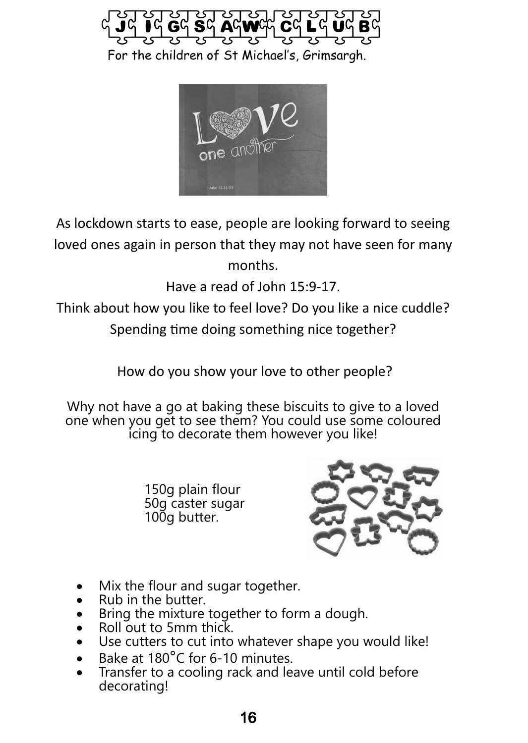



As lockdown starts to ease, people are looking forward to seeing loved ones again in person that they may not have seen for many months.

Have a read of John 15:9-17.

Think about how you like to feel love? Do you like a nice cuddle?

Spending time doing something nice together?

How do you show your love to other people?

Why not have a go at baking these biscuits to give to a loved one when you get to see them? You could use some coloured icing to decorate them however you like!

> 150g plain flour 50g caster sugar 100g butter.



- Mix the flour and sugar together.
- Rub in the butter.
- Bring the mixture together to form a dough.
- Roll out to 5mm thick.
- Use cutters to cut into whatever shape you would like!
- Bake at 180°C for 6-10 minutes.
- Transfer to a cooling rack and leave until cold before decorating!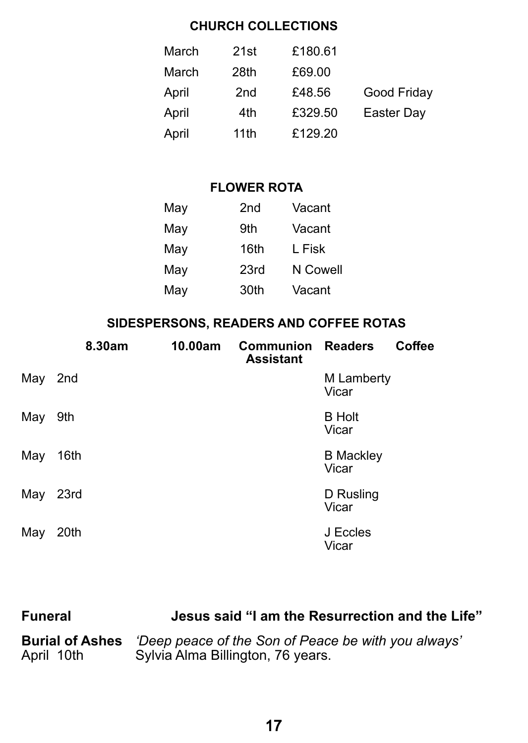#### **CHURCH COLLECTIONS**

| March | 21st            | £180.61 |             |
|-------|-----------------|---------|-------------|
| March | 28th            | £69.00  |             |
| April | 2 <sub>nd</sub> | £48.56  | Good Friday |
| April | 4th             | £329.50 | Easter Day  |
| April | 11th            | £129.20 |             |

#### **FLOWER ROTA**

| May | 2nd  | Vacant   |  |  |
|-----|------|----------|--|--|
| May | 9th  | Vacant   |  |  |
| May | 16th | L Fisk   |  |  |
| May | 23rd | N Cowell |  |  |
| May | 30th | Vacant   |  |  |
|     |      |          |  |  |

### **SIDESPERSONS, READERS AND COFFEE ROTAS**

|         | 8.30am | 10.00am | <b>Communion Readers</b><br><b>Assistant</b> |                           | <b>Coffee</b> |
|---------|--------|---------|----------------------------------------------|---------------------------|---------------|
| May 2nd |        |         |                                              | M Lamberty<br>Vicar       |               |
| May     | 9th    |         |                                              | <b>B</b> Holt<br>Vicar    |               |
| May     | 16th   |         |                                              | <b>B</b> Mackley<br>Vicar |               |
| May     | 23rd   |         |                                              | D Rusling<br>Vicar        |               |
| May     | 20th   |         |                                              | J Eccles<br>Vicar         |               |

| <b>Funeral</b>         | Jesus said "I am the Resurrection and the Life"     |
|------------------------|-----------------------------------------------------|
| <b>Burial of Ashes</b> | 'Deep peace of the Son of Peace be with you always' |
| April 10th             | Sylvia Alma Billington, 76 years.                   |